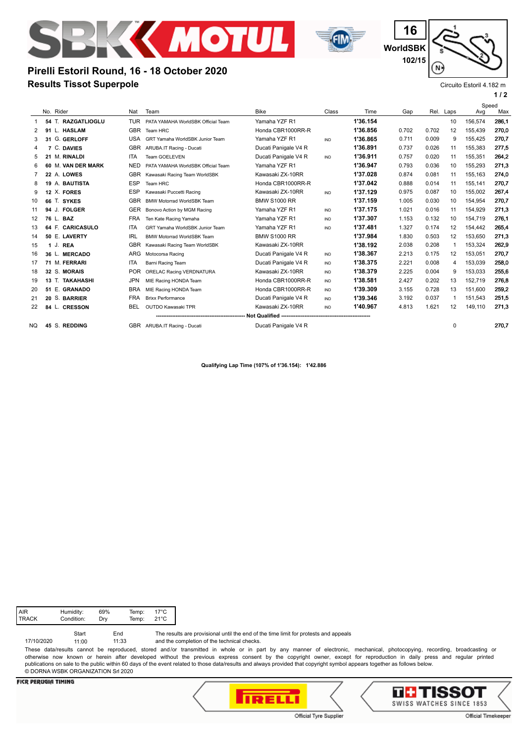



**16 WorldSBK 102/15** N

Circuito Estoril 4.182 m

**1 / 2**

# **Results Tissot Superpole Pirelli Estoril Round, 16 - 18 October 2020**

|                |                            |            |                                    |                      |            |          |       |       |      | Speed   |       |
|----------------|----------------------------|------------|------------------------------------|----------------------|------------|----------|-------|-------|------|---------|-------|
|                | No. Rider                  | Nat        | Team                               | <b>Bike</b>          | Class      | Time     | Gap   | Rel.  | Laps | Avg     | Max   |
|                | 54 T. RAZGATLIOGLU         | <b>TUR</b> | PATA YAMAHA WorldSBK Official Team | Yamaha YZF R1        |            | 1'36.154 |       |       | 10   | 156,574 | 286,1 |
| 2              | <b>HASLAM</b><br>91 L.     | <b>GBR</b> | Team HRC                           | Honda CBR1000RR-R    |            | 1'36.856 | 0.702 | 0.702 | 12   | 155.439 | 270,0 |
| 3              | G. GERLOFF<br>31           | <b>USA</b> | GRT Yamaha WorldSBK Junior Team    | Yamaha YZF R1        | <b>IND</b> | 1'36.865 | 0.711 | 0.009 | 9    | 155.425 | 270,7 |
| 4              | C. DAVIES                  | <b>GBR</b> | ARUBA.IT Racing - Ducati           | Ducati Panigale V4 R |            | 1'36.891 | 0.737 | 0.026 | 11   | 155,383 | 277,5 |
| 5              | M.<br><b>RINALDI</b><br>21 | <b>ITA</b> | Team GOELEVEN                      | Ducati Panigale V4 R | <b>IND</b> | 1'36.911 | 0.757 | 0.020 | 11   | 155,351 | 264.2 |
| 6              | 60 M. VAN DER MARK         | <b>NED</b> | PATA YAMAHA WorldSBK Official Team | Yamaha YZF R1        |            | 1'36.947 | 0.793 | 0.036 | 10   | 155,293 | 271,3 |
| $\overline{7}$ | 22 A. LOWES                | <b>GBR</b> | Kawasaki Racing Team WorldSBK      | Kawasaki ZX-10RR     |            | 1'37.028 | 0.874 | 0.081 | 11   | 155.163 | 274,0 |
| 8              | 19 A. BAUTISTA             | <b>ESP</b> | Team HRC                           | Honda CBR1000RR-R    |            | 1'37.042 | 0.888 | 0.014 | 11   | 155,141 | 270,7 |
| 9              | 12 X. FORES                | <b>ESP</b> | Kawasaki Puccetti Racing           | Kawasaki ZX-10RR     | <b>IND</b> | 1'37.129 | 0.975 | 0.087 | 10   | 155,002 | 267.4 |
| 10             | 66 T. SYKES                | <b>GBR</b> | <b>BMW Motorrad WorldSBK Team</b>  | <b>BMW S1000 RR</b>  |            | 1'37.159 | 1.005 | 0.030 | 10   | 154.954 | 270.7 |
| 11             | 94 J. FOLGER               | <b>GER</b> | Bonovo Action by MGM Racing        | Yamaha YZF R1        | <b>IND</b> | 1'37.175 | 1.021 | 0.016 | 11   | 154,929 | 271,3 |
| 12             | 76<br><b>BAZ</b><br>L.     | <b>FRA</b> | Ten Kate Racing Yamaha             | Yamaha YZF R1        | <b>IND</b> | 1'37.307 | 1.153 | 0.132 | 10   | 154.719 | 276,1 |
| 13             | 64 F. CARICASULO           | <b>ITA</b> | GRT Yamaha WorldSBK Junior Team    | Yamaha YZF R1        | <b>IND</b> | 1'37.481 | 1.327 | 0.174 | 12   | 154,442 | 265.4 |
| 14             | 50 E. LAVERTY              | <b>IRL</b> | <b>BMW Motorrad WorldSBK Team</b>  | <b>BMW S1000 RR</b>  |            | 1'37.984 | 1.830 | 0.503 | 12   | 153,650 | 271,3 |
| 15             | 1J.<br><b>REA</b>          | <b>GBR</b> | Kawasaki Racing Team WorldSBK      | Kawasaki ZX-10RR     |            | 1'38.192 | 2.038 | 0.208 | 1    | 153,324 | 262.9 |
| 16             | <b>MERCADO</b><br>36 L.    | <b>ARG</b> | Motocorsa Racing                   | Ducati Panigale V4 R | <b>IND</b> | 1'38.367 | 2.213 | 0.175 | 12   | 153,051 | 270,7 |
| 17             | 71 M. FERRARI              | <b>ITA</b> | Barni Racing Team                  | Ducati Panigale V4 R | IND        | 1'38.375 | 2.221 | 0.008 | 4    | 153,039 | 258,0 |
| 18             | 32 S. MORAIS               | <b>POR</b> | <b>ORELAC Racing VERDNATURA</b>    | Kawasaki ZX-10RR     | <b>IND</b> | 1'38.379 | 2.225 | 0.004 | 9    | 153,033 | 255.6 |
| 19             | 13 T. TAKAHASHI            | <b>JPN</b> | MIE Racing HONDA Team              | Honda CBR1000RR-R    | <b>IND</b> | 1'38.581 | 2.427 | 0.202 | 13   | 152.719 | 276,8 |
| 20             | 51 E. GRANADO              | <b>BRA</b> | MIE Racing HONDA Team              | Honda CBR1000RR-R    | <b>IND</b> | 1'39.309 | 3.155 | 0.728 | 13   | 151,600 | 259.2 |
| 21             | 20 S. BARRIER              | <b>FRA</b> | <b>Brixx Performance</b>           | Ducati Panigale V4 R | IND        | 1'39.346 | 3.192 | 0.037 | 1    | 151.543 | 251.5 |
| 22             | <b>CRESSON</b><br>84 L.    | <b>BEL</b> | OUTDO Kawasaki TPR                 | Kawasaki ZX-10RR     | <b>IND</b> | 1'40.967 | 4.813 | 1.621 | 12   | 149.110 | 271,3 |
|                |                            |            |                                    |                      |            |          |       |       |      |         |       |
| NQ.            | 45 S. REDDING              |            | GBR ARUBA.IT Racing - Ducati       | Ducati Panigale V4 R |            |          |       |       | 0    |         | 270,7 |
|                |                            |            |                                    |                      |            |          |       |       |      |         |       |

**Qualifying Lap Time (107% of 1'36.154): 1'42.886**

| $17^{\circ}$ C<br>AIR<br>69%<br>Humidity:<br>Temp:<br>TRACK<br>$21^{\circ}$ C<br>Condition:<br>Temp:<br>Drv |
|-------------------------------------------------------------------------------------------------------------|
|-------------------------------------------------------------------------------------------------------------|

Start End 17/10/2020 11:00

and the completion of the technical checks. The results are provisional until the end of the time limit for protests and appeals

11:33 These data/results cannot be reproduced, stored and/or transmitted in whole or in part by any manner of electronic, mechanical, photocopying, recording, broadcasting or otherwise now known or herein after developed without the previous express consent by the copyright owner, except for reproduction in daily press and regular printed publications on sale to the public within 60 days of the event related to those data/results and always provided that copyright symbol appears together as follows below. © DORNA WSBK ORGANIZATION Srl 2020

#### **FICR PERUGIA TIMING**





Official Timekeeper